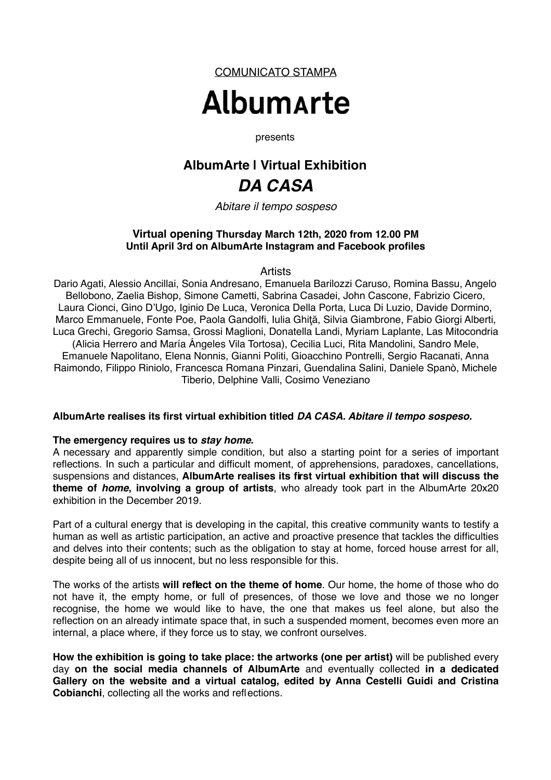COMUNICATO STAMPA

# **Albumarte**

presents

# **AlbumArte | Virtual Exhibition**  *DA CASA*

*Abitare il tempo sospeso*

### **Virtual opening Thursday March 12th, 2020 from 12.00 PM Until April 3rd on AlbumArte Instagram and Facebook profiles**

#### **Artists**

Dario Agati, Alessio Ancillai, Sonia Andresano, Emanuela Barilozzi Caruso, Romina Bassu, Angelo Bellobono, Zaelia Bishop, Simone Cametti, Sabrina Casadei, John Cascone, Fabrizio Cicero, Laura Cionci, Gino D'Ugo, Iginio De Luca, Veronica Della Porta, Luca Di Luzio, Davide Dormino, Marco Emmanuele, Fonte Poe, Paola Gandolfi, Iulia Ghită, Silvia Giambrone, Fabio Giorgi Alberti, Luca Grechi, Gregorio Samsa, Grossi Maglioni, Donatella Landi, Myriam Laplante, Las Mitocondria (Alicia Herrero and María Ángeles Vila Tortosa), Cecilia Luci, Rita Mandolini, Sandro Mele, Emanuele Napolitano, Elena Nonnis, Gianni Politi, Gioacchino Pontrelli, Sergio Racanati, Anna Raimondo, Filippo Riniolo, Francesca Romana Pinzari, Guendalina Salini, Daniele Spanò, Michele Tiberio, Delphine Valli, Cosimo Veneziano

#### **AlbumArte realises its first virtual exhibition titled** *DA CASA. Abitare il tempo sospeso.*

#### **The emergency requires us to** *stay home***.**

A necessary and apparently simple condition, but also a starting point for a series of important reflections. In such a particular and difficult moment, of apprehensions, paradoxes, cancellations, suspensions and distances, **AlbumArte realises its first virtual exhibition that will discuss the theme of** *home***, involving a group of artists**, who already took part in the AlbumArte 20x20 exhibition in the December 2019.

Part of a cultural energy that is developing in the capital, this creative community wants to testify a human as well as artistic participation, an active and proactive presence that tackles the difficulties and delves into their contents; such as the obligation to stay at home, forced house arrest for all, despite being all of us innocent, but no less responsible for this.

The works of the artists **will reflect on the theme of home**. Our home, the home of those who do not have it, the empty home, or full of presences, of those we love and those we no longer recognise, the home we would like to have, the one that makes us feel alone, but also the reflection on an already intimate space that, in such a suspended moment, becomes even more an internal, a place where, if they force us to stay, we confront ourselves.

**How the exhibition is going to take place: the artworks (one per artist)** will be published every day **on the social media channels of AlbumArte** and eventually collected **in a dedicated Gallery on the website and a virtual catalog, edited by Anna Cestelli Guidi and Cristina Cobianchi**, collecting all the works and reflections.